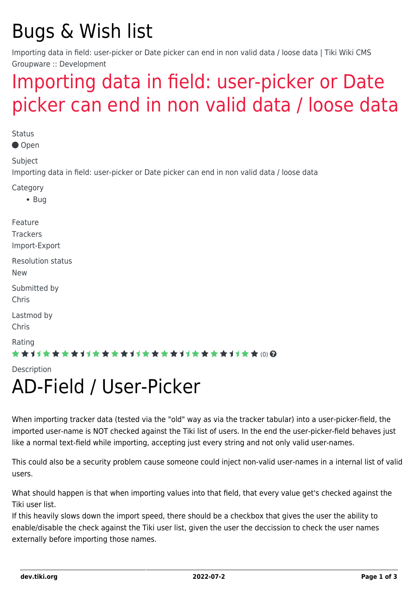## Bugs & Wish list

Importing data in field: user-picker or Date picker can end in non valid data / loose data | Tiki Wiki CMS Groupware :: Development

## [Importing data in field: user-picker or Date](https://dev.tiki.org/item7828-Importing-data-in-field-user-picker-or-Date-picker-can-end-in-non-valid-data-loose-data) [picker can end in non valid data / loose data](https://dev.tiki.org/item7828-Importing-data-in-field-user-picker-or-Date-picker-can-end-in-non-valid-data-loose-data)

**Status** Open Subject Importing data in field: user-picker or Date picker can end in non valid data / loose data Category  $-$  Bug Feature **Trackers** Import-Export Resolution status New Submitted by Chris Lastmod by Chris Rating ★★11★★★★11★★★★11★★★★11★★★★11★★ (0) @ Description

## AD-Field / User-Picker

When importing tracker data (tested via the "old" way as via the tracker tabular) into a user-picker-field, the imported user-name is NOT checked against the Tiki list of users. In the end the user-picker-field behaves just like a normal text-field while importing, accepting just every string and not only valid user-names.

This could also be a security problem cause someone could inject non-valid user-names in a internal list of valid users.

What should happen is that when importing values into that field, that every value get's checked against the Tiki user list.

If this heavily slows down the import speed, there should be a checkbox that gives the user the ability to enable/disable the check against the Tiki user list, given the user the deccission to check the user names externally before importing those names.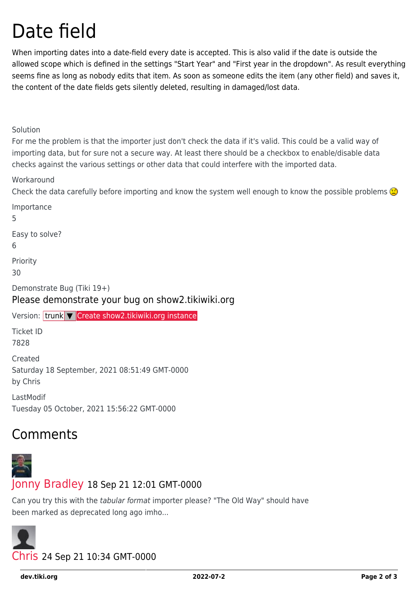## Date field

When importing dates into a date-field every date is accepted. This is also valid if the date is outside the allowed scope which is defined in the settings "Start Year" and "First year in the dropdown". As result everything seems fine as long as nobody edits that item. As soon as someone edits the item (any other field) and saves it, the content of the date fields gets silently deleted, resulting in damaged/lost data.

Solution

For me the problem is that the importer just don't check the data if it's valid. This could be a valid way of importing data, but for sure not a secure way. At least there should be a checkbox to enable/disable data checks against the various settings or other data that could interfere with the imported data.

**Workaround** 

Check the data carefully before importing and know the system well enough to know the possible problems  $\bigcirc$ 

Importance 5 Easy to solve? 6 Priority 30 Demonstrate Bug (Tiki 19+) Please demonstrate your bug on show2.tikiwiki.org Version: trunk ▼ [Create show2.tikiwiki.org instance](#page--1-0) Ticket ID 7828 Created Saturday 18 September, 2021 08:51:49 GMT-0000 by Chris LastModif Tuesday 05 October, 2021 15:56:22 GMT-0000

#### Comments



#### [Jonny Bradley](https://dev.tiki.org/user8515) 18 Sep 21 12:01 GMT-0000

Can you try this with the tabular format importer please? "The Old Way" should have been marked as deprecated long ago imho...